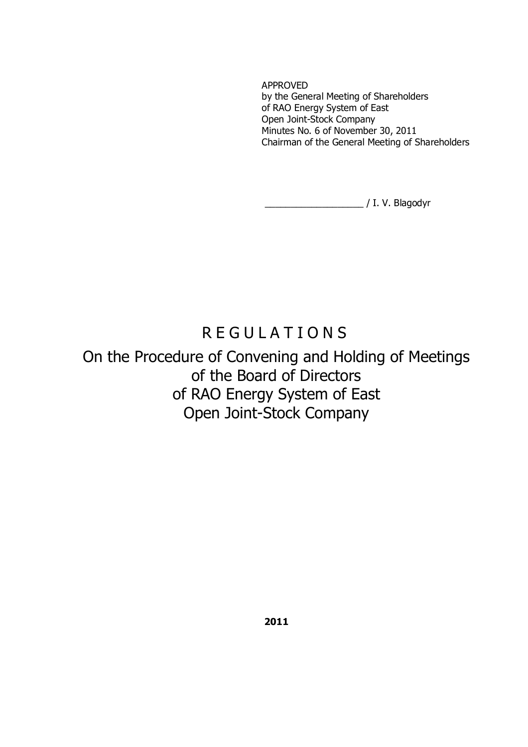APPROVED by the General Meeting of Shareholders of RAO Energy System of East Open Joint-Stock Company Minutes No. 6 of November 30, 2011 Chairman of the General Meeting of Shareholders

\_\_\_\_\_\_\_\_\_\_\_\_\_\_\_\_\_\_\_ / I. V. Blagodyr

# R E G U L A T I O N S

On the Procedure of Convening and Holding of Meetings of the Board of Directors of RAO Energy System of East Open Joint-Stock Company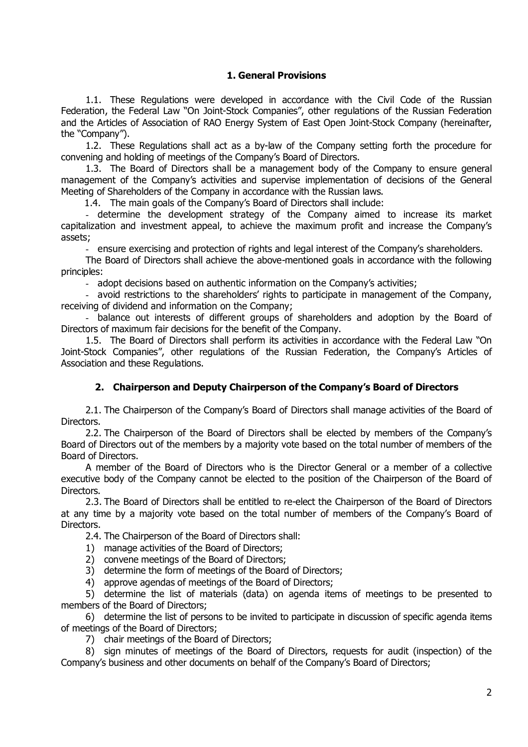# **1. General Provisions**

1.1. These Regulations were developed in accordance with the Civil Code of the Russian Federation, the Federal Law "On Joint-Stock Companies", other regulations of the Russian Federation and the Articles of Association of RAO Energy System of East Open Joint-Stock Company (hereinafter, the "Company").

1.2. These Regulations shall act as a by-law of the Company setting forth the procedure for convening and holding of meetings of the Company's Board of Directors.

1.3. The Board of Directors shall be a management body of the Company to ensure general management of the Company's activities and supervise implementation of decisions of the General Meeting of Shareholders of the Company in accordance with the Russian laws.

1.4. The main goals of the Company's Board of Directors shall include:

- determine the development strategy of the Company aimed to increase its market capitalization and investment appeal, to achieve the maximum profit and increase the Company's assets;

- ensure exercising and protection of rights and legal interest of the Company's shareholders.

The Board of Directors shall achieve the above-mentioned goals in accordance with the following principles:

- adopt decisions based on authentic information on the Company's activities;

- avoid restrictions to the shareholders' rights to participate in management of the Company, receiving of dividend and information on the Company;

- balance out interests of different groups of shareholders and adoption by the Board of Directors of maximum fair decisions for the benefit of the Company.

1.5. The Board of Directors shall perform its activities in accordance with the Federal Law "On Joint-Stock Companies", other regulations of the Russian Federation, the Company's Articles of Association and these Regulations.

## **2. Chairperson and Deputy Chairperson of the Company's Board of Directors**

2.1. The Chairperson of the Company's Board of Directors shall manage activities of the Board of Directors.

2.2. The Chairperson of the Board of Directors shall be elected by members of the Company's Board of Directors out of the members by a majority vote based on the total number of members of the Board of Directors.

A member of the Board of Directors who is the Director General or a member of a collective executive body of the Company cannot be elected to the position of the Chairperson of the Board of Directors.

2.3. The Board of Directors shall be entitled to re-elect the Chairperson of the Board of Directors at any time by a majority vote based on the total number of members of the Company's Board of Directors.

2.4. The Chairperson of the Board of Directors shall:

- 1) manage activities of the Board of Directors;
- 2) convene meetings of the Board of Directors;
- 3) determine the form of meetings of the Board of Directors;
- 4) approve agendas of meetings of the Board of Directors;

5) determine the list of materials (data) on agenda items of meetings to be presented to members of the Board of Directors;

6) determine the list of persons to be invited to participate in discussion of specific agenda items of meetings of the Board of Directors;

7) chair meetings of the Board of Directors;

8) sign minutes of meetings of the Board of Directors, requests for audit (inspection) of the Company's business and other documents on behalf of the Company's Board of Directors;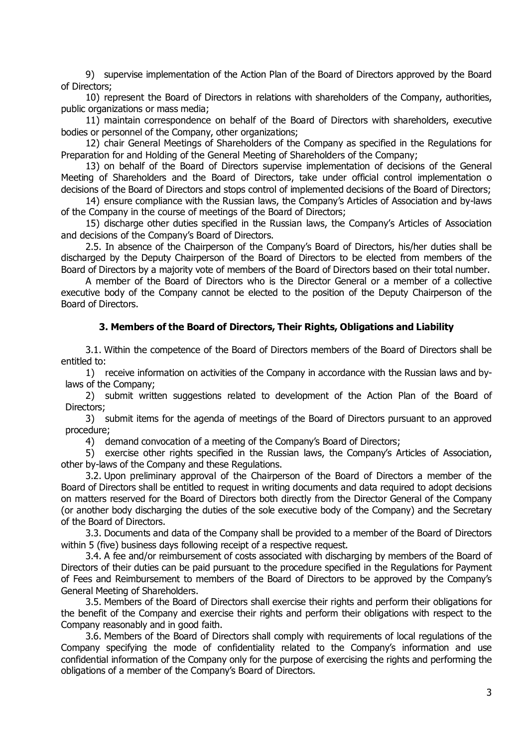9) supervise implementation of the Action Plan of the Board of Directors approved by the Board of Directors;

10) represent the Board of Directors in relations with shareholders of the Company, authorities, public organizations or mass media;

11) maintain correspondence on behalf of the Board of Directors with shareholders, executive bodies or personnel of the Company, other organizations;

12) chair General Meetings of Shareholders of the Company as specified in the Regulations for Preparation for and Holding of the General Meeting of Shareholders of the Company;

13) on behalf of the Board of Directors supervise implementation of decisions of the General Meeting of Shareholders and the Board of Directors, take under official control implementation o decisions of the Board of Directors and stops control of implemented decisions of the Board of Directors;

14) ensure compliance with the Russian laws, the Company's Articles of Association and by-laws of the Company in the course of meetings of the Board of Directors;

15) discharge other duties specified in the Russian laws, the Company's Articles of Association and decisions of the Company's Board of Directors.

2.5. In absence of the Chairperson of the Company's Board of Directors, his/her duties shall be discharged by the Deputy Chairperson of the Board of Directors to be elected from members of the Board of Directors by a majority vote of members of the Board of Directors based on their total number.

A member of the Board of Directors who is the Director General or a member of a collective executive body of the Company cannot be elected to the position of the Deputy Chairperson of the Board of Directors.

#### **3. Members of the Board of Directors, Their Rights, Obligations and Liability**

3.1. Within the competence of the Board of Directors members of the Board of Directors shall be entitled to:

1) receive information on activities of the Company in accordance with the Russian laws and bylaws of the Company;

2) submit written suggestions related to development of the Action Plan of the Board of Directors;

3) submit items for the agenda of meetings of the Board of Directors pursuant to an approved procedure;

4) demand convocation of a meeting of the Company's Board of Directors;

5) exercise other rights specified in the Russian laws, the Company's Articles of Association, other by-laws of the Company and these Regulations.

3.2. Upon preliminary approval of the Chairperson of the Board of Directors a member of the Board of Directors shall be entitled to request in writing documents and data required to adopt decisions on matters reserved for the Board of Directors both directly from the Director General of the Company (or another body discharging the duties of the sole executive body of the Company) and the Secretary of the Board of Directors.

3.3. Documents and data of the Company shall be provided to a member of the Board of Directors within 5 (five) business days following receipt of a respective request.

3.4. A fee and/or reimbursement of costs associated with discharging by members of the Board of Directors of their duties can be paid pursuant to the procedure specified in the Regulations for Payment of Fees and Reimbursement to members of the Board of Directors to be approved by the Company's General Meeting of Shareholders.

3.5. Members of the Board of Directors shall exercise their rights and perform their obligations for the benefit of the Company and exercise their rights and perform their obligations with respect to the Company reasonably and in good faith.

3.6. Members of the Board of Directors shall comply with requirements of local regulations of the Company specifying the mode of confidentiality related to the Company's information and use confidential information of the Company only for the purpose of exercising the rights and performing the obligations of a member of the Company's Board of Directors.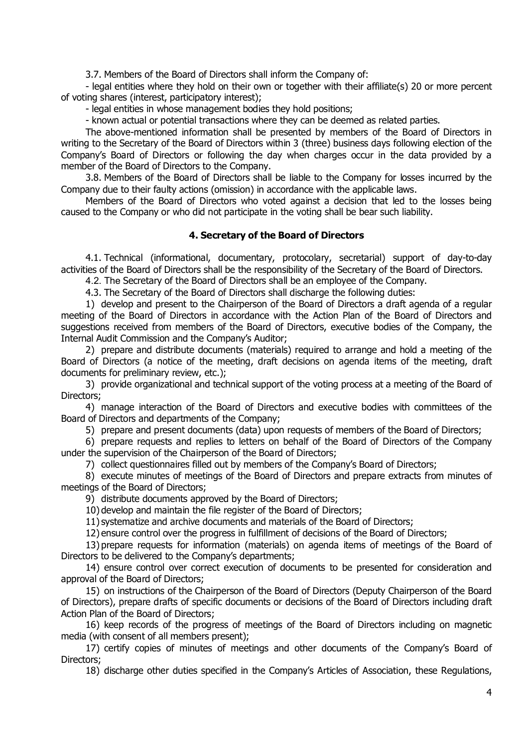3.7. Members of the Board of Directors shall inform the Company of:

- legal entities where they hold on their own or together with their affiliate(s) 20 or more percent of voting shares (interest, participatory interest);

- legal entities in whose management bodies they hold positions;

- known actual or potential transactions where they can be deemed as related parties.

The above-mentioned information shall be presented by members of the Board of Directors in writing to the Secretary of the Board of Directors within 3 (three) business days following election of the Company's Board of Directors or following the day when charges occur in the data provided by a member of the Board of Directors to the Company.

3.8. Members of the Board of Directors shall be liable to the Company for losses incurred by the Company due to their faulty actions (omission) in accordance with the applicable laws.

Members of the Board of Directors who voted against a decision that led to the losses being caused to the Company or who did not participate in the voting shall be bear such liability.

## **4. Secretary of the Board of Directors**

4.1. Technical (informational, documentary, protocolary, secretarial) support of day-to-day activities of the Board of Directors shall be the responsibility of the Secretary of the Board of Directors.

4.2. The Secretary of the Board of Directors shall be an employee of the Company.

4.3. The Secretary of the Board of Directors shall discharge the following duties:

1) develop and present to the Chairperson of the Board of Directors a draft agenda of a regular meeting of the Board of Directors in accordance with the Action Plan of the Board of Directors and suggestions received from members of the Board of Directors, executive bodies of the Company, the Internal Audit Commission and the Company's Auditor;

2) prepare and distribute documents (materials) required to arrange and hold a meeting of the Board of Directors (a notice of the meeting, draft decisions on agenda items of the meeting, draft documents for preliminary review, etc.);

3) provide organizational and technical support of the voting process at a meeting of the Board of Directors;

4) manage interaction of the Board of Directors and executive bodies with committees of the Board of Directors and departments of the Company;

5) prepare and present documents (data) upon requests of members of the Board of Directors;

6) prepare requests and replies to letters on behalf of the Board of Directors of the Company under the supervision of the Chairperson of the Board of Directors;

7) collect questionnaires filled out by members of the Company's Board of Directors;

8) execute minutes of meetings of the Board of Directors and prepare extracts from minutes of meetings of the Board of Directors;

9) distribute documents approved by the Board of Directors;

10) develop and maintain the file register of the Board of Directors;

11) systematize and archive documents and materials of the Board of Directors;

12) ensure control over the progress in fulfillment of decisions of the Board of Directors;

13) prepare requests for information (materials) on agenda items of meetings of the Board of Directors to be delivered to the Company's departments;

14) ensure control over correct execution of documents to be presented for consideration and approval of the Board of Directors;

15) on instructions of the Chairperson of the Board of Directors (Deputy Chairperson of the Board of Directors), prepare drafts of specific documents or decisions of the Board of Directors including draft Action Plan of the Board of Directors;

16) keep records of the progress of meetings of the Board of Directors including on magnetic media (with consent of all members present);

17) certify copies of minutes of meetings and other documents of the Company's Board of Directors;

18) discharge other duties specified in the Company's Articles of Association, these Regulations,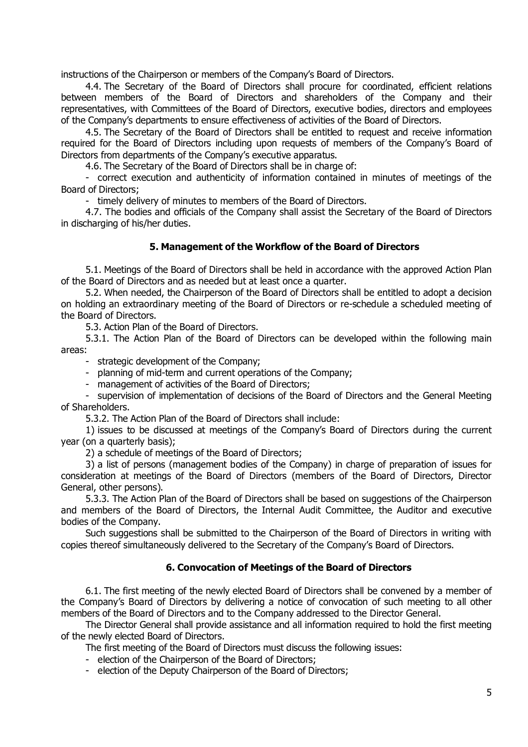instructions of the Chairperson or members of the Company's Board of Directors.

4.4. The Secretary of the Board of Directors shall procure for coordinated, efficient relations between members of the Board of Directors and shareholders of the Company and their representatives, with Committees of the Board of Directors, executive bodies, directors and employees of the Company's departments to ensure effectiveness of activities of the Board of Directors.

4.5. The Secretary of the Board of Directors shall be entitled to request and receive information required for the Board of Directors including upon requests of members of the Company's Board of Directors from departments of the Company's executive apparatus.

4.6. The Secretary of the Board of Directors shall be in charge of:

- correct execution and authenticity of information contained in minutes of meetings of the Board of Directors;

- timely delivery of minutes to members of the Board of Directors.

4.7. The bodies and officials of the Company shall assist the Secretary of the Board of Directors in discharging of his/her duties.

#### **5. Management of the Workflow of the Board of Directors**

5.1. Meetings of the Board of Directors shall be held in accordance with the approved Action Plan of the Board of Directors and as needed but at least once a quarter.

5.2. When needed, the Chairperson of the Board of Directors shall be entitled to adopt a decision on holding an extraordinary meeting of the Board of Directors or re-schedule a scheduled meeting of the Board of Directors.

5.3. Action Plan of the Board of Directors.

5.3.1. The Action Plan of the Board of Directors can be developed within the following main areas:

- strategic development of the Company;

- planning of mid-term and current operations of the Company;

- management of activities of the Board of Directors;

- supervision of implementation of decisions of the Board of Directors and the General Meeting of Shareholders.

5.3.2. The Action Plan of the Board of Directors shall include:

1) issues to be discussed at meetings of the Company's Board of Directors during the current year (on a quarterly basis);

2) a schedule of meetings of the Board of Directors;

3) a list of persons (management bodies of the Company) in charge of preparation of issues for consideration at meetings of the Board of Directors (members of the Board of Directors, Director General, other persons).

5.3.3. The Action Plan of the Board of Directors shall be based on suggestions of the Chairperson and members of the Board of Directors, the Internal Audit Committee, the Auditor and executive bodies of the Company.

Such suggestions shall be submitted to the Chairperson of the Board of Directors in writing with copies thereof simultaneously delivered to the Secretary of the Company's Board of Directors.

## **6. Convocation of Meetings of the Board of Directors**

6.1. The first meeting of the newly elected Board of Directors shall be convened by a member of the Company's Board of Directors by delivering a notice of convocation of such meeting to all other members of the Board of Directors and to the Company addressed to the Director General.

The Director General shall provide assistance and all information required to hold the first meeting of the newly elected Board of Directors.

The first meeting of the Board of Directors must discuss the following issues:

- election of the Chairperson of the Board of Directors;
- election of the Deputy Chairperson of the Board of Directors;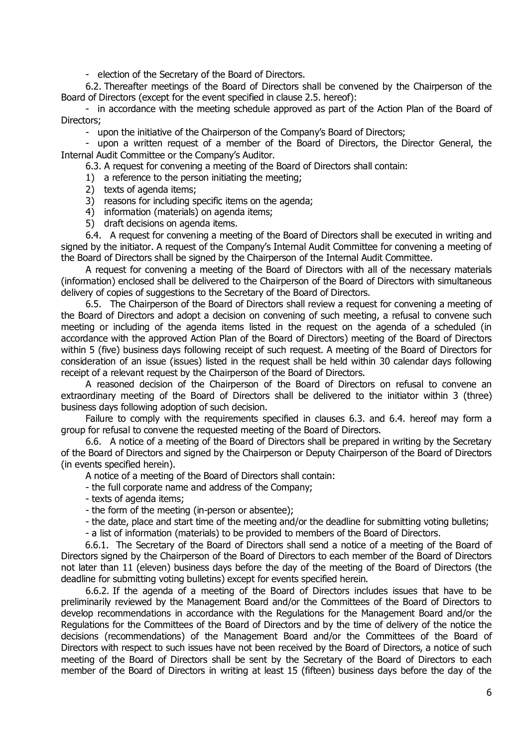- election of the Secretary of the Board of Directors.

6.2. Thereafter meetings of the Board of Directors shall be convened by the Chairperson of the Board of Directors (except for the event specified in clause 2.5. hereof):

- in accordance with the meeting schedule approved as part of the Action Plan of the Board of Directors;

- upon the initiative of the Chairperson of the Company's Board of Directors;

- upon a written request of a member of the Board of Directors, the Director General, the Internal Audit Committee or the Company's Auditor.

6.3. A request for convening a meeting of the Board of Directors shall contain:

- 1) a reference to the person initiating the meeting;
- 2) texts of agenda items;
- 3) reasons for including specific items on the agenda;
- 4) information (materials) on agenda items;
- 5) draft decisions on agenda items.

6.4. A request for convening a meeting of the Board of Directors shall be executed in writing and signed by the initiator. A request of the Company's Internal Audit Committee for convening a meeting of the Board of Directors shall be signed by the Chairperson of the Internal Audit Committee.

A request for convening a meeting of the Board of Directors with all of the necessary materials (information) enclosed shall be delivered to the Chairperson of the Board of Directors with simultaneous delivery of copies of suggestions to the Secretary of the Board of Directors.

6.5. The Chairperson of the Board of Directors shall review a request for convening a meeting of the Board of Directors and adopt a decision on convening of such meeting, a refusal to convene such meeting or including of the agenda items listed in the request on the agenda of a scheduled (in accordance with the approved Action Plan of the Board of Directors) meeting of the Board of Directors within 5 (five) business days following receipt of such request. A meeting of the Board of Directors for consideration of an issue (issues) listed in the request shall be held within 30 calendar days following receipt of a relevant request by the Chairperson of the Board of Directors.

A reasoned decision of the Chairperson of the Board of Directors on refusal to convene an extraordinary meeting of the Board of Directors shall be delivered to the initiator within 3 (three) business days following adoption of such decision.

Failure to comply with the requirements specified in clauses 6.3. and 6.4. hereof may form a group for refusal to convene the requested meeting of the Board of Directors.

6.6. A notice of a meeting of the Board of Directors shall be prepared in writing by the Secretary of the Board of Directors and signed by the Chairperson or Deputy Chairperson of the Board of Directors (in events specified herein).

A notice of a meeting of the Board of Directors shall contain:

- the full corporate name and address of the Company;

- texts of agenda items;

- the form of the meeting (in-person or absentee);

- the date, place and start time of the meeting and/or the deadline for submitting voting bulletins;

- a list of information (materials) to be provided to members of the Board of Directors.

6.6.1. The Secretary of the Board of Directors shall send a notice of a meeting of the Board of Directors signed by the Chairperson of the Board of Directors to each member of the Board of Directors not later than 11 (eleven) business days before the day of the meeting of the Board of Directors (the deadline for submitting voting bulletins) except for events specified herein.

6.6.2. If the agenda of a meeting of the Board of Directors includes issues that have to be preliminarily reviewed by the Management Board and/or the Committees of the Board of Directors to develop recommendations in accordance with the Regulations for the Management Board and/or the Regulations for the Committees of the Board of Directors and by the time of delivery of the notice the decisions (recommendations) of the Management Board and/or the Committees of the Board of Directors with respect to such issues have not been received by the Board of Directors, a notice of such meeting of the Board of Directors shall be sent by the Secretary of the Board of Directors to each member of the Board of Directors in writing at least 15 (fifteen) business days before the day of the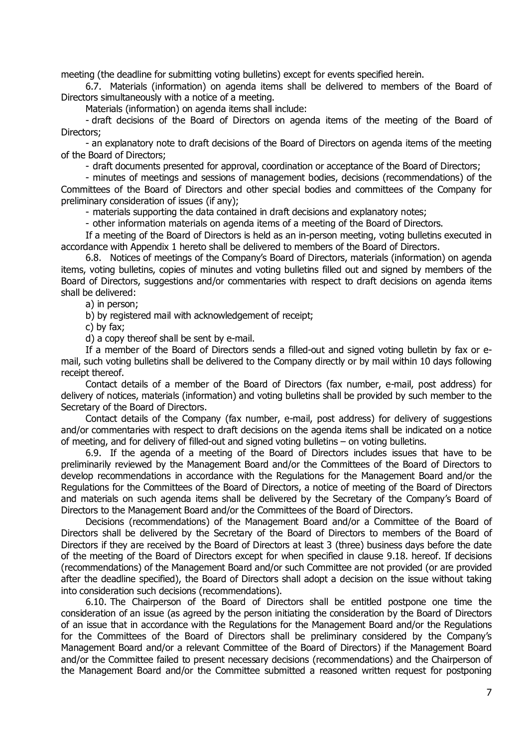meeting (the deadline for submitting voting bulletins) except for events specified herein.

6.7. Materials (information) on agenda items shall be delivered to members of the Board of Directors simultaneously with a notice of a meeting.

Materials (information) on agenda items shall include:

- draft decisions of the Board of Directors on agenda items of the meeting of the Board of Directors;

- an explanatory note to draft decisions of the Board of Directors on agenda items of the meeting of the Board of Directors;

- draft documents presented for approval, coordination or acceptance of the Board of Directors;

- minutes of meetings and sessions of management bodies, decisions (recommendations) of the Committees of the Board of Directors and other special bodies and committees of the Company for preliminary consideration of issues (if any);

- materials supporting the data contained in draft decisions and explanatory notes;

- other information materials on agenda items of a meeting of the Board of Directors.

If a meeting of the Board of Directors is held as an in-person meeting, voting bulletins executed in accordance with Appendix 1 hereto shall be delivered to members of the Board of Directors.

6.8. Notices of meetings of the Company's Board of Directors, materials (information) on agenda items, voting bulletins, copies of minutes and voting bulletins filled out and signed by members of the Board of Directors, suggestions and/or commentaries with respect to draft decisions on agenda items shall be delivered:

a) in person;

b) by registered mail with acknowledgement of receipt;

c) by fax;

d) a copy thereof shall be sent by e-mail.

If a member of the Board of Directors sends a filled-out and signed voting bulletin by fax or email, such voting bulletins shall be delivered to the Company directly or by mail within 10 days following receipt thereof.

Contact details of a member of the Board of Directors (fax number, e-mail, post address) for delivery of notices, materials (information) and voting bulletins shall be provided by such member to the Secretary of the Board of Directors.

Contact details of the Company (fax number, e-mail, post address) for delivery of suggestions and/or commentaries with respect to draft decisions on the agenda items shall be indicated on a notice of meeting, and for delivery of filled-out and signed voting bulletins – on voting bulletins.

6.9. If the agenda of a meeting of the Board of Directors includes issues that have to be preliminarily reviewed by the Management Board and/or the Committees of the Board of Directors to develop recommendations in accordance with the Regulations for the Management Board and/or the Regulations for the Committees of the Board of Directors, a notice of meeting of the Board of Directors and materials on such agenda items shall be delivered by the Secretary of the Company's Board of Directors to the Management Board and/or the Committees of the Board of Directors.

Decisions (recommendations) of the Management Board and/or a Committee of the Board of Directors shall be delivered by the Secretary of the Board of Directors to members of the Board of Directors if they are received by the Board of Directors at least 3 (three) business days before the date of the meeting of the Board of Directors except for when specified in clause 9.18. hereof. If decisions (recommendations) of the Management Board and/or such Committee are not provided (or are provided after the deadline specified), the Board of Directors shall adopt a decision on the issue without taking into consideration such decisions (recommendations).

6.10. The Chairperson of the Board of Directors shall be entitled postpone one time the consideration of an issue (as agreed by the person initiating the consideration by the Board of Directors of an issue that in accordance with the Regulations for the Management Board and/or the Regulations for the Committees of the Board of Directors shall be preliminary considered by the Company's Management Board and/or a relevant Committee of the Board of Directors) if the Management Board and/or the Committee failed to present necessary decisions (recommendations) and the Chairperson of the Management Board and/or the Committee submitted a reasoned written request for postponing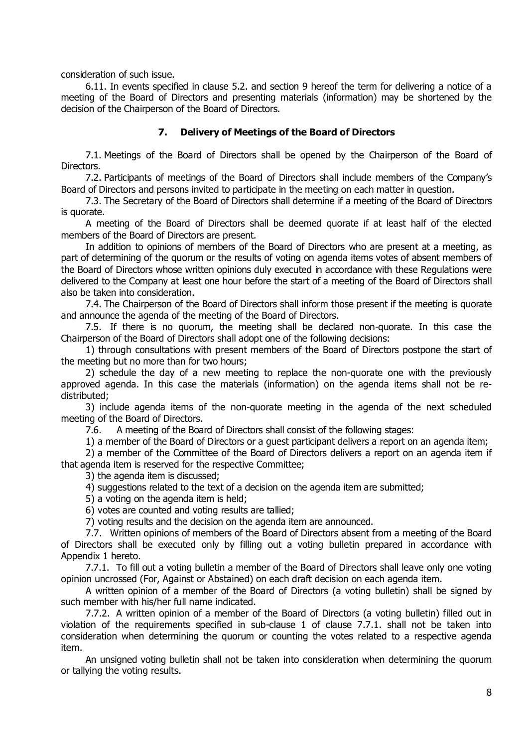consideration of such issue.

6.11. In events specified in clause 5.2. and section 9 hereof the term for delivering a notice of a meeting of the Board of Directors and presenting materials (information) may be shortened by the decision of the Chairperson of the Board of Directors.

# **7. Delivery of Meetings of the Board of Directors**

7.1. Meetings of the Board of Directors shall be opened by the Chairperson of the Board of Directors.

7.2. Participants of meetings of the Board of Directors shall include members of the Company's Board of Directors and persons invited to participate in the meeting on each matter in question.

7.3. The Secretary of the Board of Directors shall determine if a meeting of the Board of Directors is quorate.

A meeting of the Board of Directors shall be deemed quorate if at least half of the elected members of the Board of Directors are present.

In addition to opinions of members of the Board of Directors who are present at a meeting, as part of determining of the quorum or the results of voting on agenda items votes of absent members of the Board of Directors whose written opinions duly executed in accordance with these Regulations were delivered to the Company at least one hour before the start of a meeting of the Board of Directors shall also be taken into consideration.

7.4. The Chairperson of the Board of Directors shall inform those present if the meeting is quorate and announce the agenda of the meeting of the Board of Directors.

7.5. If there is no quorum, the meeting shall be declared non-quorate. In this case the Chairperson of the Board of Directors shall adopt one of the following decisions:

1) through consultations with present members of the Board of Directors postpone the start of the meeting but no more than for two hours;

2) schedule the day of a new meeting to replace the non-quorate one with the previously approved agenda. In this case the materials (information) on the agenda items shall not be redistributed;

3) include agenda items of the non-quorate meeting in the agenda of the next scheduled meeting of the Board of Directors.

7.6. A meeting of the Board of Directors shall consist of the following stages:

1) a member of the Board of Directors or a guest participant delivers a report on an agenda item;

2) a member of the Committee of the Board of Directors delivers a report on an agenda item if that agenda item is reserved for the respective Committee;

3) the agenda item is discussed;

4) suggestions related to the text of a decision on the agenda item are submitted;

5) a voting on the agenda item is held;

6) votes are counted and voting results are tallied;

7) voting results and the decision on the agenda item are announced.

7.7. Written opinions of members of the Board of Directors absent from a meeting of the Board of Directors shall be executed only by filling out a voting bulletin prepared in accordance with Appendix 1 hereto.

7.7.1. To fill out a voting bulletin a member of the Board of Directors shall leave only one voting opinion uncrossed (For, Against or Abstained) on each draft decision on each agenda item.

A written opinion of a member of the Board of Directors (a voting bulletin) shall be signed by such member with his/her full name indicated.

7.7.2. A written opinion of a member of the Board of Directors (a voting bulletin) filled out in violation of the requirements specified in sub-clause 1 of clause 7.7.1. shall not be taken into consideration when determining the quorum or counting the votes related to a respective agenda item.

An unsigned voting bulletin shall not be taken into consideration when determining the quorum or tallying the voting results.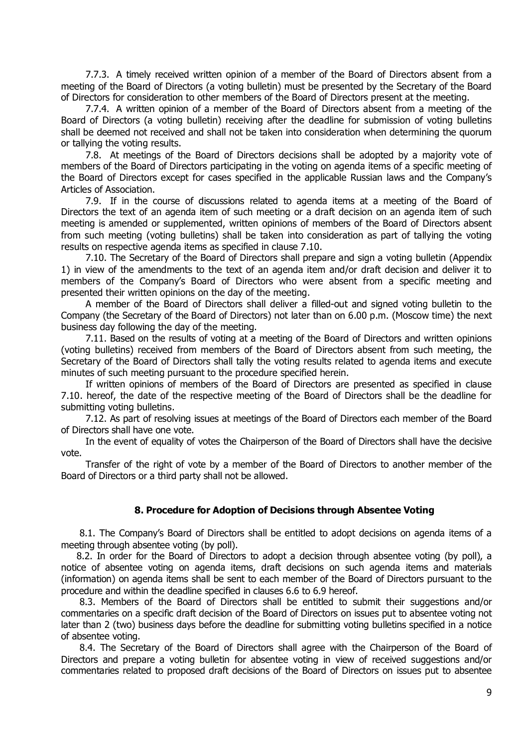7.7.3. A timely received written opinion of a member of the Board of Directors absent from a meeting of the Board of Directors (a voting bulletin) must be presented by the Secretary of the Board of Directors for consideration to other members of the Board of Directors present at the meeting.

7.7.4. A written opinion of a member of the Board of Directors absent from a meeting of the Board of Directors (a voting bulletin) receiving after the deadline for submission of voting bulletins shall be deemed not received and shall not be taken into consideration when determining the quorum or tallying the voting results.

7.8. At meetings of the Board of Directors decisions shall be adopted by a majority vote of members of the Board of Directors participating in the voting on agenda items of a specific meeting of the Board of Directors except for cases specified in the applicable Russian laws and the Company's Articles of Association.

7.9. If in the course of discussions related to agenda items at a meeting of the Board of Directors the text of an agenda item of such meeting or a draft decision on an agenda item of such meeting is amended or supplemented, written opinions of members of the Board of Directors absent from such meeting (voting bulletins) shall be taken into consideration as part of tallying the voting results on respective agenda items as specified in clause 7.10.

7.10. The Secretary of the Board of Directors shall prepare and sign a voting bulletin (Appendix 1) in view of the amendments to the text of an agenda item and/or draft decision and deliver it to members of the Company's Board of Directors who were absent from a specific meeting and presented their written opinions on the day of the meeting.

A member of the Board of Directors shall deliver a filled-out and signed voting bulletin to the Company (the Secretary of the Board of Directors) not later than on 6.00 p.m. (Moscow time) the next business day following the day of the meeting.

7.11. Based on the results of voting at a meeting of the Board of Directors and written opinions (voting bulletins) received from members of the Board of Directors absent from such meeting, the Secretary of the Board of Directors shall tally the voting results related to agenda items and execute minutes of such meeting pursuant to the procedure specified herein.

If written opinions of members of the Board of Directors are presented as specified in clause 7.10. hereof, the date of the respective meeting of the Board of Directors shall be the deadline for submitting voting bulletins.

7.12. As part of resolving issues at meetings of the Board of Directors each member of the Board of Directors shall have one vote.

In the event of equality of votes the Chairperson of the Board of Directors shall have the decisive vote.

Transfer of the right of vote by a member of the Board of Directors to another member of the Board of Directors or a third party shall not be allowed.

## **8. Procedure for Adoption of Decisions through Absentee Voting**

8.1. The Company's Board of Directors shall be entitled to adopt decisions on agenda items of a meeting through absentee voting (by poll).

8.2. In order for the Board of Directors to adopt a decision through absentee voting (by poll), a notice of absentee voting on agenda items, draft decisions on such agenda items and materials (information) on agenda items shall be sent to each member of the Board of Directors pursuant to the procedure and within the deadline specified in clauses 6.6 to 6.9 hereof.

8.3. Members of the Board of Directors shall be entitled to submit their suggestions and/or commentaries on a specific draft decision of the Board of Directors on issues put to absentee voting not later than 2 (two) business days before the deadline for submitting voting bulletins specified in a notice of absentee voting.

8.4. The Secretary of the Board of Directors shall agree with the Chairperson of the Board of Directors and prepare a voting bulletin for absentee voting in view of received suggestions and/or commentaries related to proposed draft decisions of the Board of Directors on issues put to absentee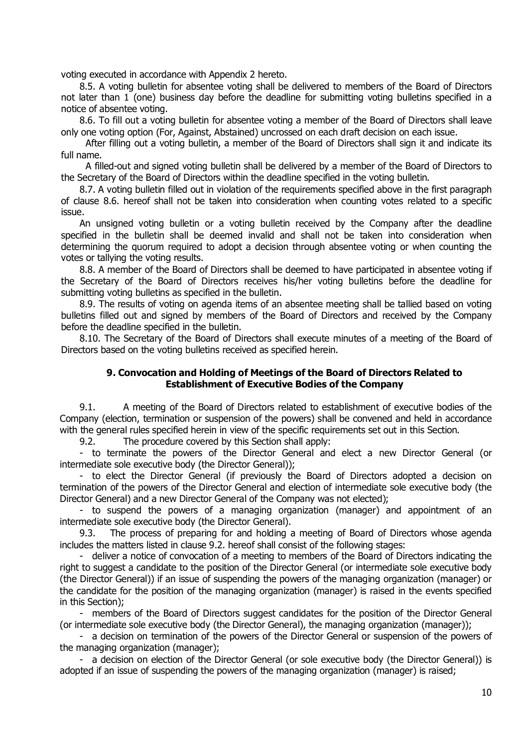voting executed in accordance with Appendix 2 hereto.

8.5. A voting bulletin for absentee voting shall be delivered to members of the Board of Directors not later than 1 (one) business day before the deadline for submitting voting bulletins specified in a notice of absentee voting.

8.6. To fill out a voting bulletin for absentee voting a member of the Board of Directors shall leave only one voting option (For, Against, Abstained) uncrossed on each draft decision on each issue.

After filling out a voting bulletin, a member of the Board of Directors shall sign it and indicate its full name.

A filled-out and signed voting bulletin shall be delivered by a member of the Board of Directors to the Secretary of the Board of Directors within the deadline specified in the voting bulletin.

8.7. A voting bulletin filled out in violation of the requirements specified above in the first paragraph of clause 8.6. hereof shall not be taken into consideration when counting votes related to a specific issue.

An unsigned voting bulletin or a voting bulletin received by the Company after the deadline specified in the bulletin shall be deemed invalid and shall not be taken into consideration when determining the quorum required to adopt a decision through absentee voting or when counting the votes or tallying the voting results.

8.8. A member of the Board of Directors shall be deemed to have participated in absentee voting if the Secretary of the Board of Directors receives his/her voting bulletins before the deadline for submitting voting bulletins as specified in the bulletin.

8.9. The results of voting on agenda items of an absentee meeting shall be tallied based on voting bulletins filled out and signed by members of the Board of Directors and received by the Company before the deadline specified in the bulletin.

8.10. The Secretary of the Board of Directors shall execute minutes of a meeting of the Board of Directors based on the voting bulletins received as specified herein.

#### **9. Convocation and Holding of Meetings of the Board of Directors Related to Establishment of Executive Bodies of the Company**

9.1. A meeting of the Board of Directors related to establishment of executive bodies of the Company (election, termination or suspension of the powers) shall be convened and held in accordance with the general rules specified herein in view of the specific requirements set out in this Section.

9.2. The procedure covered by this Section shall apply:

- to terminate the powers of the Director General and elect a new Director General (or intermediate sole executive body (the Director General));

- to elect the Director General (if previously the Board of Directors adopted a decision on termination of the powers of the Director General and election of intermediate sole executive body (the Director General) and a new Director General of the Company was not elected);

- to suspend the powers of a managing organization (manager) and appointment of an intermediate sole executive body (the Director General).

9.3. The process of preparing for and holding a meeting of Board of Directors whose agenda includes the matters listed in clause 9.2. hereof shall consist of the following stages:

- deliver a notice of convocation of a meeting to members of the Board of Directors indicating the right to suggest a candidate to the position of the Director General (or intermediate sole executive body (the Director General)) if an issue of suspending the powers of the managing organization (manager) or the candidate for the position of the managing organization (manager) is raised in the events specified in this Section);

- members of the Board of Directors suggest candidates for the position of the Director General (or intermediate sole executive body (the Director General), the managing organization (manager));

- a decision on termination of the powers of the Director General or suspension of the powers of the managing organization (manager);

- a decision on election of the Director General (or sole executive body (the Director General)) is adopted if an issue of suspending the powers of the managing organization (manager) is raised;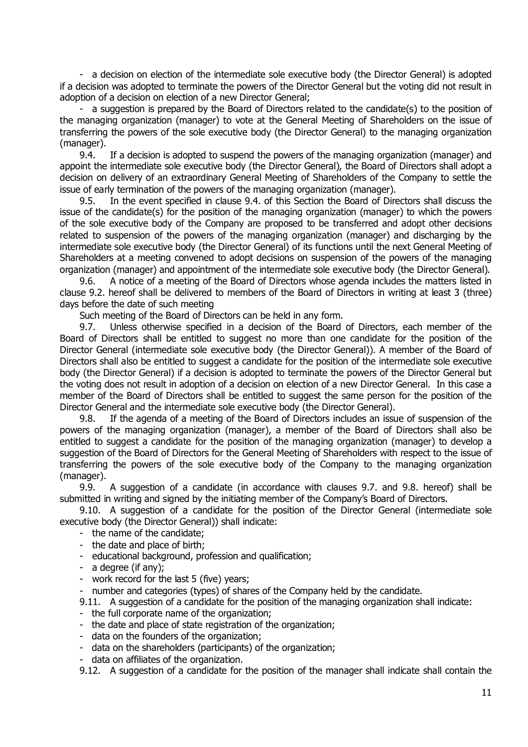- a decision on election of the intermediate sole executive body (the Director General) is adopted if a decision was adopted to terminate the powers of the Director General but the voting did not result in adoption of a decision on election of a new Director General;

- a suggestion is prepared by the Board of Directors related to the candidate(s) to the position of the managing organization (manager) to vote at the General Meeting of Shareholders on the issue of transferring the powers of the sole executive body (the Director General) to the managing organization (manager).

9.4. If a decision is adopted to suspend the powers of the managing organization (manager) and appoint the intermediate sole executive body (the Director General), the Board of Directors shall adopt a decision on delivery of an extraordinary General Meeting of Shareholders of the Company to settle the issue of early termination of the powers of the managing organization (manager).

9.5. In the event specified in clause 9.4. of this Section the Board of Directors shall discuss the issue of the candidate(s) for the position of the managing organization (manager) to which the powers of the sole executive body of the Company are proposed to be transferred and adopt other decisions related to suspension of the powers of the managing organization (manager) and discharging by the intermediate sole executive body (the Director General) of its functions until the next General Meeting of Shareholders at a meeting convened to adopt decisions on suspension of the powers of the managing organization (manager) and appointment of the intermediate sole executive body (the Director General).

9.6. A notice of a meeting of the Board of Directors whose agenda includes the matters listed in clause 9.2. hereof shall be delivered to members of the Board of Directors in writing at least 3 (three) days before the date of such meeting

Such meeting of the Board of Directors can be held in any form.

9.7. Unless otherwise specified in a decision of the Board of Directors, each member of the Board of Directors shall be entitled to suggest no more than one candidate for the position of the Director General (intermediate sole executive body (the Director General)). A member of the Board of Directors shall also be entitled to suggest a candidate for the position of the intermediate sole executive body (the Director General) if a decision is adopted to terminate the powers of the Director General but the voting does not result in adoption of a decision on election of a new Director General. In this case a member of the Board of Directors shall be entitled to suggest the same person for the position of the Director General and the intermediate sole executive body (the Director General).

9.8. If the agenda of a meeting of the Board of Directors includes an issue of suspension of the powers of the managing organization (manager), a member of the Board of Directors shall also be entitled to suggest a candidate for the position of the managing organization (manager) to develop a suggestion of the Board of Directors for the General Meeting of Shareholders with respect to the issue of transferring the powers of the sole executive body of the Company to the managing organization (manager).

9.9. A suggestion of a candidate (in accordance with clauses 9.7. and 9.8. hereof) shall be submitted in writing and signed by the initiating member of the Company's Board of Directors.

9.10. A suggestion of a candidate for the position of the Director General (intermediate sole executive body (the Director General)) shall indicate:

- the name of the candidate;
- the date and place of birth;
- educational background, profession and qualification;
- a degree (if any);
- work record for the last 5 (five) years;
- number and categories (types) of shares of the Company held by the candidate.

9.11. A suggestion of a candidate for the position of the managing organization shall indicate:

- the full corporate name of the organization;
- the date and place of state registration of the organization;
- data on the founders of the organization;
- data on the shareholders (participants) of the organization;
- data on affiliates of the organization.

9.12. A suggestion of a candidate for the position of the manager shall indicate shall contain the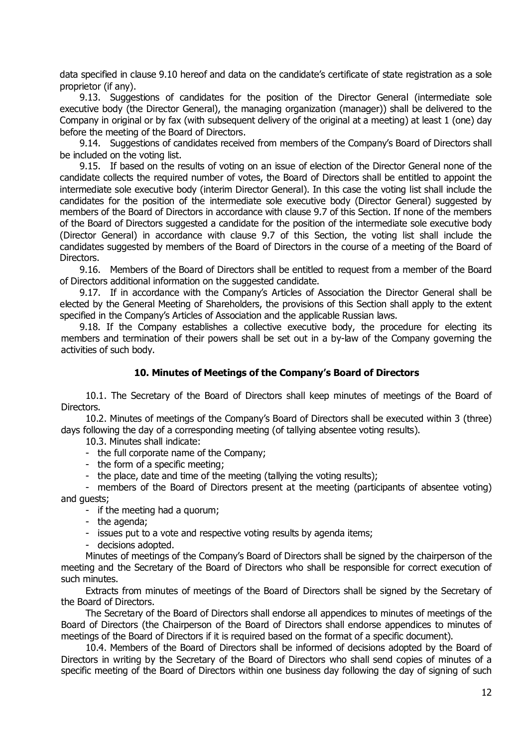data specified in clause 9.10 hereof and data on the candidate's certificate of state registration as a sole proprietor (if any).

9.13. Suggestions of candidates for the position of the Director General (intermediate sole executive body (the Director General), the managing organization (manager)) shall be delivered to the Company in original or by fax (with subsequent delivery of the original at a meeting) at least 1 (one) day before the meeting of the Board of Directors.

9.14. Suggestions of candidates received from members of the Company's Board of Directors shall be included on the voting list.

9.15. If based on the results of voting on an issue of election of the Director General none of the candidate collects the required number of votes, the Board of Directors shall be entitled to appoint the intermediate sole executive body (interim Director General). In this case the voting list shall include the candidates for the position of the intermediate sole executive body (Director General) suggested by members of the Board of Directors in accordance with clause 9.7 of this Section. If none of the members of the Board of Directors suggested a candidate for the position of the intermediate sole executive body (Director General) in accordance with clause 9.7 of this Section, the voting list shall include the candidates suggested by members of the Board of Directors in the course of a meeting of the Board of Directors.

9.16. Members of the Board of Directors shall be entitled to request from a member of the Board of Directors additional information on the suggested candidate.

9.17. If in accordance with the Company's Articles of Association the Director General shall be elected by the General Meeting of Shareholders, the provisions of this Section shall apply to the extent specified in the Company's Articles of Association and the applicable Russian laws.

9.18. If the Company establishes a collective executive body, the procedure for electing its members and termination of their powers shall be set out in a by-law of the Company governing the activities of such body.

#### **10. Minutes of Meetings of the Company's Board of Directors**

10.1. The Secretary of the Board of Directors shall keep minutes of meetings of the Board of Directors.

10.2. Minutes of meetings of the Company's Board of Directors shall be executed within 3 (three) days following the day of a corresponding meeting (of tallying absentee voting results).

10.3. Minutes shall indicate:

- the full corporate name of the Company;
- the form of a specific meeting;
- the place, date and time of the meeting (tallying the voting results);

- members of the Board of Directors present at the meeting (participants of absentee voting) and guests;

- if the meeting had a quorum;

- the agenda;

- issues put to a vote and respective voting results by agenda items;

- decisions adopted.

Minutes of meetings of the Company's Board of Directors shall be signed by the chairperson of the meeting and the Secretary of the Board of Directors who shall be responsible for correct execution of such minutes.

Extracts from minutes of meetings of the Board of Directors shall be signed by the Secretary of the Board of Directors.

The Secretary of the Board of Directors shall endorse all appendices to minutes of meetings of the Board of Directors (the Chairperson of the Board of Directors shall endorse appendices to minutes of meetings of the Board of Directors if it is required based on the format of a specific document).

10.4. Members of the Board of Directors shall be informed of decisions adopted by the Board of Directors in writing by the Secretary of the Board of Directors who shall send copies of minutes of a specific meeting of the Board of Directors within one business day following the day of signing of such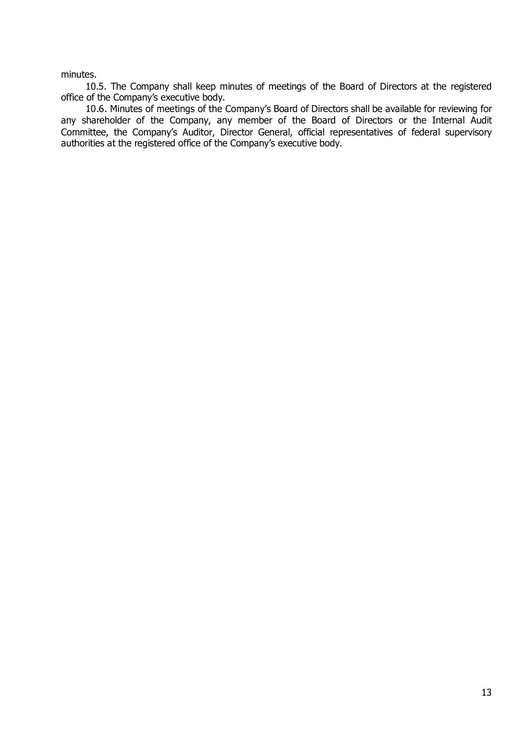minutes.

10.5. The Company shall keep minutes of meetings of the Board of Directors at the registered office of the Company's executive body.

10.6. Minutes of meetings of the Company's Board of Directors shall be available for reviewing for any shareholder of the Company, any member of the Board of Directors or the Internal Audit Committee, the Company's Auditor, Director General, official representatives of federal supervisory authorities at the registered office of the Company's executive body.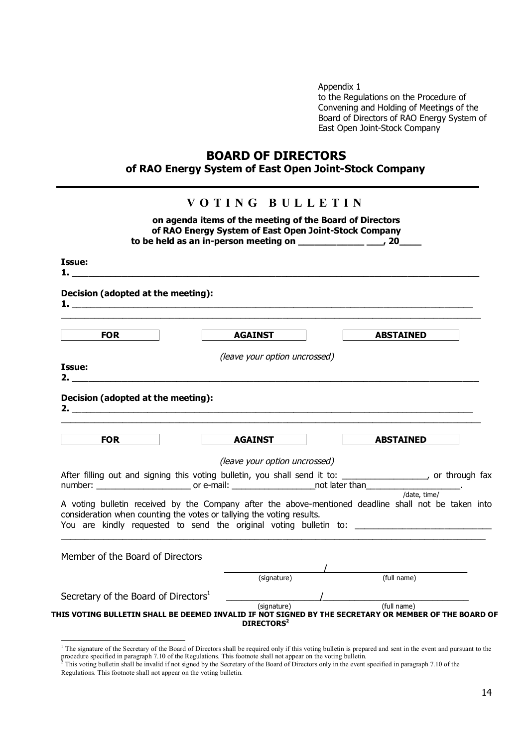Appendix 1 to the Regulations on the Procedure of Convening and Holding of Meetings of the Board of Directors of RAO Energy System of East Open Joint-Stock Company

# **BOARD OF DIRECTORS of RAO Energy System of East Open Joint-Stock Company**

|                                                                                                                                                                                                                                                           | to be held as an in-person meeting on $\frac{1}{2}$ $\frac{1}{2}$ $\frac{1}{2}$ $\frac{1}{2}$ $\frac{1}{2}$ |                                                                                                                                                                           |
|-----------------------------------------------------------------------------------------------------------------------------------------------------------------------------------------------------------------------------------------------------------|-------------------------------------------------------------------------------------------------------------|---------------------------------------------------------------------------------------------------------------------------------------------------------------------------|
| Issue:                                                                                                                                                                                                                                                    |                                                                                                             |                                                                                                                                                                           |
| Decision (adopted at the meeting):<br>$\mathbf{1.}$ $\blacksquare$                                                                                                                                                                                        |                                                                                                             |                                                                                                                                                                           |
| <b>FOR</b>                                                                                                                                                                                                                                                | <b>AGAINST</b>                                                                                              | <b>ABSTAINED</b>                                                                                                                                                          |
| Issue:                                                                                                                                                                                                                                                    | (leave your option uncrossed)                                                                               |                                                                                                                                                                           |
|                                                                                                                                                                                                                                                           |                                                                                                             |                                                                                                                                                                           |
| <b>FOR</b>                                                                                                                                                                                                                                                | <b>AGAINST</b>                                                                                              | <b>ABSTAINED</b>                                                                                                                                                          |
|                                                                                                                                                                                                                                                           | (leave your option uncrossed)                                                                               | After filling out and signing this voting bulletin, you shall send it to: _________________, or through fax                                                               |
|                                                                                                                                                                                                                                                           |                                                                                                             | A voting bulletin received by the Company after the above-mentioned deadline shall not be taken into<br>You are kindly requested to send the original voting bulletin to: |
|                                                                                                                                                                                                                                                           |                                                                                                             |                                                                                                                                                                           |
| Decision (adopted at the meeting):<br>After filling out and signing dus vourig building, you can be not later than that than the date, time/<br>consideration when counting the votes or tallying the voting results.<br>Member of the Board of Directors | (signature)                                                                                                 | (full name)                                                                                                                                                               |

<sup>&</sup>lt;sup>1</sup> The signature of the Secretary of the Board of Directors shall be required only if this voting bulletin is prepared and sent in the event and pursuant to the procedure specified in paragraph 7.10 of the Regulations. This footnote shall not appear on the voting bulletin.<br><sup>2</sup> This voting bulletin shall be invalid if not signed by the Secretary of the Board of Directors only in th

Regulations. This footnote shall not appear on the voting bulletin.